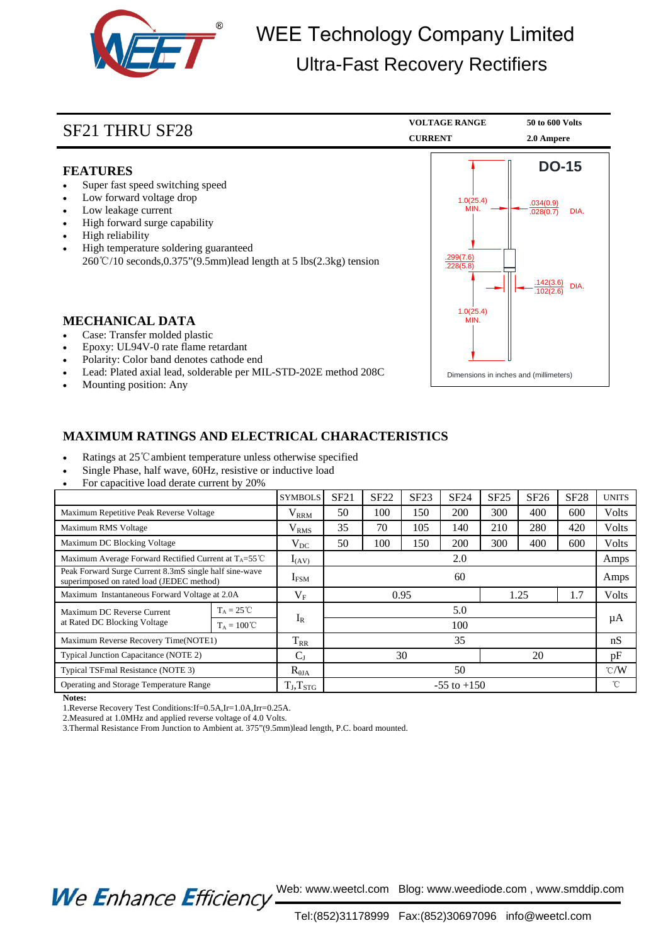

## WEE Technology Company Limited Ultra-Fast Recovery Rectifiers

| <b>SF21 THRU SF28</b>                                                                                                                                                                                                                                                                         | <b>VOLTAGE RANGE</b><br><b>CURRENT</b>                      | 50 to 600 Volts<br>2.0 Ampere                                             |  |
|-----------------------------------------------------------------------------------------------------------------------------------------------------------------------------------------------------------------------------------------------------------------------------------------------|-------------------------------------------------------------|---------------------------------------------------------------------------|--|
| <b>FEATURES</b><br>Super fast speed switching speed<br>Low forward voltage drop<br>Low leakage current<br>High forward surge capability<br>High reliability<br>High temperature soldering guaranteed<br>$260^{\circ}\text{C}/10$ seconds, 0.375" (9.5mm) lead length at 5 lbs (2.3kg) tension | 1.0(25.4)<br>MIN.<br>.299(7.6)<br>.228(5.8)                 | <b>DO-15</b><br>.034(0.9)<br>DIA.<br>.028(0.7)<br>.142(3.6)<br><b>DIA</b> |  |
| <b>MECHANICAL DATA</b><br>Case: Transfer molded plastic<br>Epoxy: UL94V-0 rate flame retardant<br>Polarity: Color band denotes cathode end<br>$\bullet$<br>Lead: Plated axial lead, solderable per MIL-STD-202E method 208C<br>Mounting position: Any                                         | 1.0(25.4)<br>MIN.<br>Dimensions in inches and (millimeters) |                                                                           |  |

## **MAXIMUM RATINGS AND ELECTRICAL CHARACTERISTICS**

- Ratings at 25℃ambient temperature unless otherwise specified
- Single Phase, half wave, 60Hz, resistive or inductive load
- For capacitive load derate current by 20%

|                                                                                                     |                      | <b>SYMBOLS</b>           | SF21            | <b>SF22</b> | SF23 | SF24 | <b>SF25</b> | SF26 | <b>SF28</b>   | <b>UNITS</b> |
|-----------------------------------------------------------------------------------------------------|----------------------|--------------------------|-----------------|-------------|------|------|-------------|------|---------------|--------------|
| Maximum Repetitive Peak Reverse Voltage                                                             |                      | $\rm V_{\rm RRM}$        | 50              | 100         | 150  | 200  | 300         | 400  | 600           | <b>Volts</b> |
| Maximum RMS Voltage                                                                                 |                      | V <sub>RMS</sub>         | 35              | 70          | 105  | 140  | 210         | 280  | 420           | Volts        |
| Maximum DC Blocking Voltage                                                                         |                      | $V_{DC}$                 | 50              | 100         | 150  | 200  | 300         | 400  | 600           | Volts        |
| Maximum Average Forward Rectified Current at $T_A = 55^{\circ}$ C                                   |                      | $I_{(AV)}$               | 2.0             |             |      |      |             |      |               | Amps         |
| Peak Forward Surge Current 8.3mS single half sine-wave<br>superimposed on rated load (JEDEC method) |                      | $I_{FSM}$                | 60              |             |      |      |             |      |               | Amps         |
| Maximum Instantaneous Forward Voltage at 2.0A                                                       |                      | $V_{\rm F}$              | 1.25<br>0.95    |             |      |      |             | 1.7  | <b>Volts</b>  |              |
| Maximum DC Reverse Current<br>at Rated DC Blocking Voltage                                          | $T_A = 25^{\circ}C$  |                          | 5.0             |             |      |      |             |      |               |              |
|                                                                                                     | $T_A = 100^{\circ}C$ | $I_R$                    | 100             |             |      |      |             |      | μA            |              |
| Maximum Reverse Recovery Time(NOTE1)                                                                |                      | $T_{RR}$                 | 35              |             |      |      |             |      | nS            |              |
| Typical Junction Capacitance (NOTE 2)                                                               |                      | $C_{J}$                  | 30<br>20        |             |      |      |             | pF   |               |              |
| Typical TSFmal Resistance (NOTE 3)                                                                  |                      | $R_{\theta JA}$          | 50              |             |      |      |             |      | $\degree$ C/W |              |
| Operating and Storage Temperature Range                                                             |                      | $T_{\rm J}, T_{\rm STG}$ | $-55$ to $+150$ |             |      |      |             | °C   |               |              |

**Notes:**

1.Reverse Recovery Test Conditions:If=0.5A,Ir=1.0A,Irr=0.25A.

2.Measured at 1.0MHz and applied reverse voltage of 4.0 Volts.

3.Thermal Resistance From Junction to Ambient at. 375"(9.5mm)lead length, P.C. board mounted.

We Enhance Efficiency Web: www.weetcl.com Blog: www.weediode.com, www.smddip.com